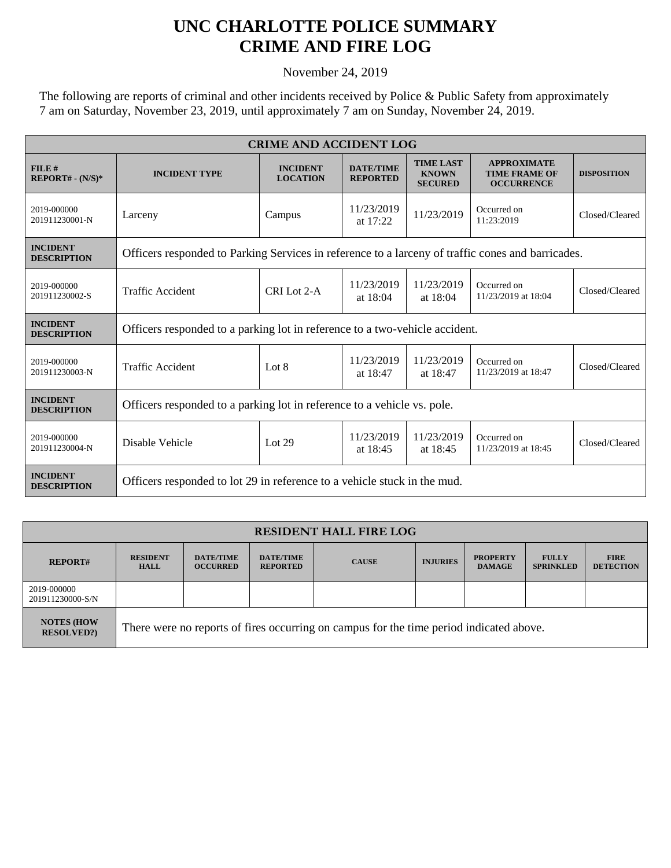## **UNC CHARLOTTE POLICE SUMMARY CRIME AND FIRE LOG**

November 24, 2019

The following are reports of criminal and other incidents received by Police & Public Safety from approximately 7 am on Saturday, November 23, 2019, until approximately 7 am on Sunday, November 24, 2019.

| <b>CRIME AND ACCIDENT LOG</b>         |                                                                                                   |                                    |                                     |                                                    |                                                                 |                    |  |
|---------------------------------------|---------------------------------------------------------------------------------------------------|------------------------------------|-------------------------------------|----------------------------------------------------|-----------------------------------------------------------------|--------------------|--|
| FILE#<br>$REPORT# - (N/S)*$           | <b>INCIDENT TYPE</b>                                                                              | <b>INCIDENT</b><br><b>LOCATION</b> | <b>DATE/TIME</b><br><b>REPORTED</b> | <b>TIME LAST</b><br><b>KNOWN</b><br><b>SECURED</b> | <b>APPROXIMATE</b><br><b>TIME FRAME OF</b><br><b>OCCURRENCE</b> | <b>DISPOSITION</b> |  |
| 2019-000000<br>201911230001-N         | Larceny                                                                                           | Campus                             | 11/23/2019<br>at $17:22$            | 11/23/2019                                         | Occurred on<br>11:23:2019                                       | Closed/Cleared     |  |
| <b>INCIDENT</b><br><b>DESCRIPTION</b> | Officers responded to Parking Services in reference to a larceny of traffic cones and barricades. |                                    |                                     |                                                    |                                                                 |                    |  |
| 2019-000000<br>201911230002-S         | <b>Traffic Accident</b>                                                                           | CRI Lot 2-A                        | 11/23/2019<br>at 18:04              | 11/23/2019<br>at 18:04                             | Occurred on<br>11/23/2019 at 18:04                              | Closed/Cleared     |  |
| <b>INCIDENT</b><br><b>DESCRIPTION</b> | Officers responded to a parking lot in reference to a two-vehicle accident.                       |                                    |                                     |                                                    |                                                                 |                    |  |
| 2019-000000<br>201911230003-N         | <b>Traffic Accident</b>                                                                           | Lot 8                              | 11/23/2019<br>at 18:47              | 11/23/2019<br>at 18:47                             | Occurred on<br>11/23/2019 at 18:47                              | Closed/Cleared     |  |
| <b>INCIDENT</b><br><b>DESCRIPTION</b> | Officers responded to a parking lot in reference to a vehicle vs. pole.                           |                                    |                                     |                                                    |                                                                 |                    |  |
| 2019-000000<br>201911230004-N         | Disable Vehicle                                                                                   | Lot $29$                           | 11/23/2019<br>at 18:45              | 11/23/2019<br>at 18:45                             | Occurred on<br>11/23/2019 at 18:45                              | Closed/Cleared     |  |
| <b>INCIDENT</b><br><b>DESCRIPTION</b> | Officers responded to lot 29 in reference to a vehicle stuck in the mud.                          |                                    |                                     |                                                    |                                                                 |                    |  |

| <b>RESIDENT HALL FIRE LOG</b>          |                                                                                         |                                     |                                     |              |                 |                                  |                                  |                                 |
|----------------------------------------|-----------------------------------------------------------------------------------------|-------------------------------------|-------------------------------------|--------------|-----------------|----------------------------------|----------------------------------|---------------------------------|
| <b>REPORT#</b>                         | <b>RESIDENT</b><br><b>HALL</b>                                                          | <b>DATE/TIME</b><br><b>OCCURRED</b> | <b>DATE/TIME</b><br><b>REPORTED</b> | <b>CAUSE</b> | <b>INJURIES</b> | <b>PROPERTY</b><br><b>DAMAGE</b> | <b>FULLY</b><br><b>SPRINKLED</b> | <b>FIRE</b><br><b>DETECTION</b> |
| 2019-000000<br>201911230000-S/N        |                                                                                         |                                     |                                     |              |                 |                                  |                                  |                                 |
| <b>NOTES (HOW)</b><br><b>RESOLVED?</b> | There were no reports of fires occurring on campus for the time period indicated above. |                                     |                                     |              |                 |                                  |                                  |                                 |